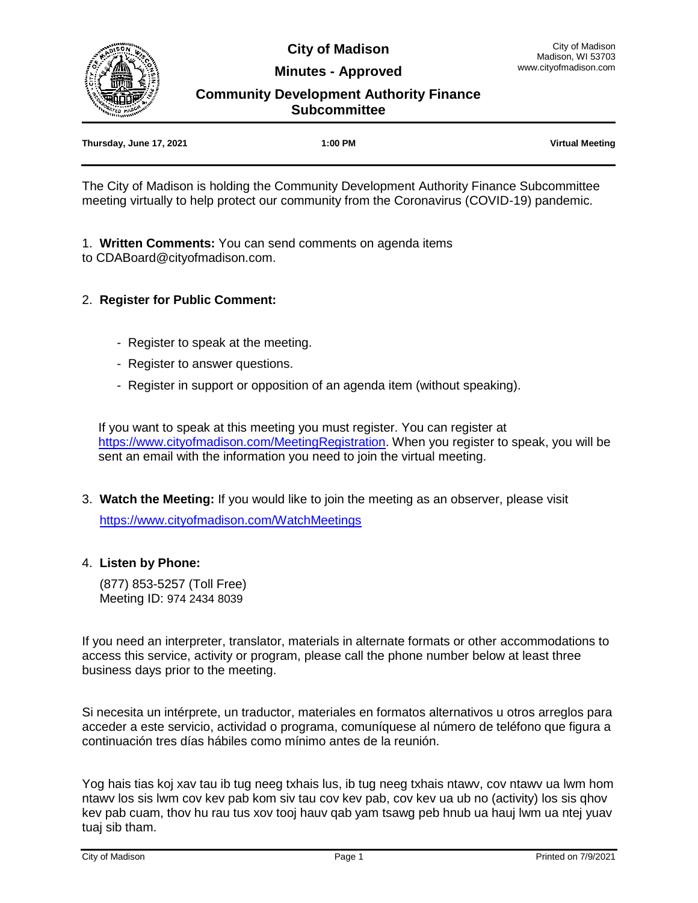**City of Madison**

**Minutes - Approved**

## **Community Development Authority Finance Subcommittee**

| Thursday, June 17, 2021 | 1:00 PM | <b>Virtual Meeting</b> |
|-------------------------|---------|------------------------|
|                         |         |                        |

The City of Madison is holding the Community Development Authority Finance Subcommittee meeting virtually to help protect our community from the Coronavirus (COVID-19) pandemic.

1. **Written Comments:** You can send comments on agenda items to CDABoard@cityofmadison.com.

# 2. **Register for Public Comment:**

- Register to speak at the meeting.
- Register to answer questions.
- Register in support or opposition of an agenda item (without speaking).

If you want to speak at this meeting you must register. You can register at [https://www.cityofmadison.com/MeetingRegistration.](https://www.cityofmadison.com/MeetingRegistration) When you register to speak, you will be sent an email with the information you need to join the virtual meeting.

3. **Watch the Meeting:** If you would like to join the meeting as an observer, please visit

<https://www.cityofmadison.com/WatchMeetings>

## 4. **Listen by Phone:**

 (877) 853-5257 (Toll Free) Meeting ID: 974 2434 8039

If you need an interpreter, translator, materials in alternate formats or other accommodations to access this service, activity or program, please call the phone number below at least three business days prior to the meeting.

Si necesita un intérprete, un traductor, materiales en formatos alternativos u otros arreglos para acceder a este servicio, actividad o programa, comuníquese al número de teléfono que figura a continuación tres días hábiles como mínimo antes de la reunión.

Yog hais tias koj xav tau ib tug neeg txhais lus, ib tug neeg txhais ntawv, cov ntawv ua lwm hom ntawv los sis lwm cov kev pab kom siv tau cov kev pab, cov kev ua ub no (activity) los sis qhov kev pab cuam, thov hu rau tus xov tooj hauv qab yam tsawg peb hnub ua hauj lwm ua ntej yuav tuaj sib tham.